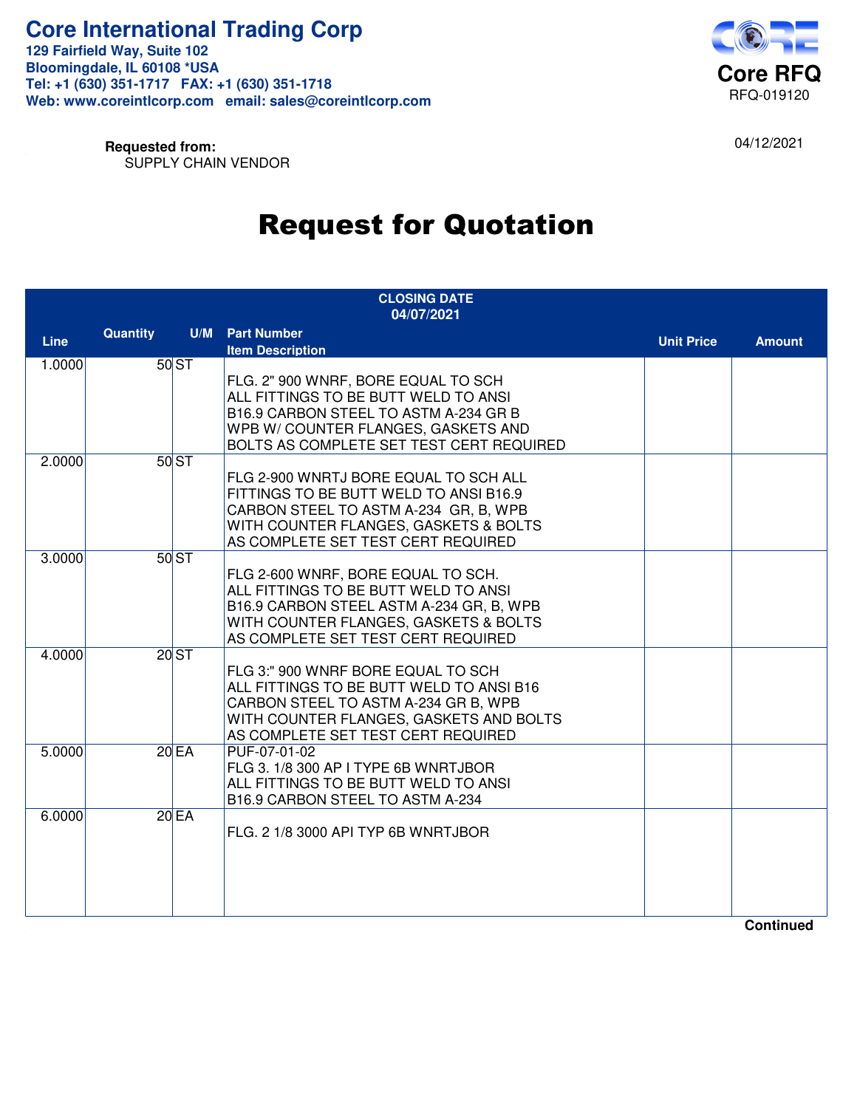

04/12/2021

**Requested from:** SUPPLY CHAIN VENDOR

# Request for Quotation

| <b>CLOSING DATE</b><br>04/07/2021 |          |      |                                                                                 |                   |               |
|-----------------------------------|----------|------|---------------------------------------------------------------------------------|-------------------|---------------|
|                                   | Quantity |      | <b>U/M</b> Part Number                                                          |                   |               |
| <b>Line</b>                       |          |      | <b>Item Description</b>                                                         | <b>Unit Price</b> | <b>Amount</b> |
| 1.0000                            |          | 50ST |                                                                                 |                   |               |
|                                   |          |      | FLG. 2" 900 WNRF, BORE EQUAL TO SCH                                             |                   |               |
|                                   |          |      | ALL FITTINGS TO BE BUTT WELD TO ANSI                                            |                   |               |
|                                   |          |      | B16.9 CARBON STEEL TO ASTM A-234 GR B                                           |                   |               |
|                                   |          |      | WPB W/ COUNTER FLANGES, GASKETS AND                                             |                   |               |
|                                   |          |      | BOLTS AS COMPLETE SET TEST CERT REQUIRED                                        |                   |               |
| 2.0000                            |          | 50ST |                                                                                 |                   |               |
|                                   |          |      | FLG 2-900 WNRTJ BORE EQUAL TO SCH ALL                                           |                   |               |
|                                   |          |      | FITTINGS TO BE BUTT WELD TO ANSI B16.9<br>CARBON STEEL TO ASTM A-234 GR, B, WPB |                   |               |
|                                   |          |      | WITH COUNTER FLANGES, GASKETS & BOLTS                                           |                   |               |
|                                   |          |      | AS COMPLETE SET TEST CERT REQUIRED                                              |                   |               |
| 3.0000                            |          | 50ST |                                                                                 |                   |               |
|                                   |          |      | FLG 2-600 WNRF, BORE EQUAL TO SCH.                                              |                   |               |
|                                   |          |      | ALL FITTINGS TO BE BUTT WELD TO ANSI                                            |                   |               |
|                                   |          |      | B16.9 CARBON STEEL ASTM A-234 GR, B, WPB                                        |                   |               |
|                                   |          |      | WITH COUNTER FLANGES, GASKETS & BOLTS                                           |                   |               |
|                                   |          |      | AS COMPLETE SET TEST CERT REQUIRED                                              |                   |               |
| 4.0000                            |          | 20ST |                                                                                 |                   |               |
|                                   |          |      | FLG 3:" 900 WNRF BORE EQUAL TO SCH                                              |                   |               |
|                                   |          |      | ALL FITTINGS TO BE BUTT WELD TO ANSI B16                                        |                   |               |
|                                   |          |      | CARBON STEEL TO ASTM A-234 GR B, WPB                                            |                   |               |
|                                   |          |      | WITH COUNTER FLANGES, GASKETS AND BOLTS                                         |                   |               |
|                                   |          |      | AS COMPLETE SET TEST CERT REQUIRED                                              |                   |               |
| 5.0000                            |          | 20EA | PUF-07-01-02                                                                    |                   |               |
|                                   |          |      | FLG 3. 1/8 300 AP I TYPE 6B WNRTJBOR<br>ALL FITTINGS TO BE BUTT WELD TO ANSI    |                   |               |
|                                   |          |      | B16.9 CARBON STEEL TO ASTM A-234                                                |                   |               |
| 6.0000                            |          | 20EA |                                                                                 |                   |               |
|                                   |          |      | FLG. 2 1/8 3000 API TYP 6B WNRTJBOR                                             |                   |               |
|                                   |          |      |                                                                                 |                   |               |
|                                   |          |      |                                                                                 |                   |               |
|                                   |          |      |                                                                                 |                   |               |
|                                   |          |      |                                                                                 |                   |               |
|                                   |          |      |                                                                                 |                   |               |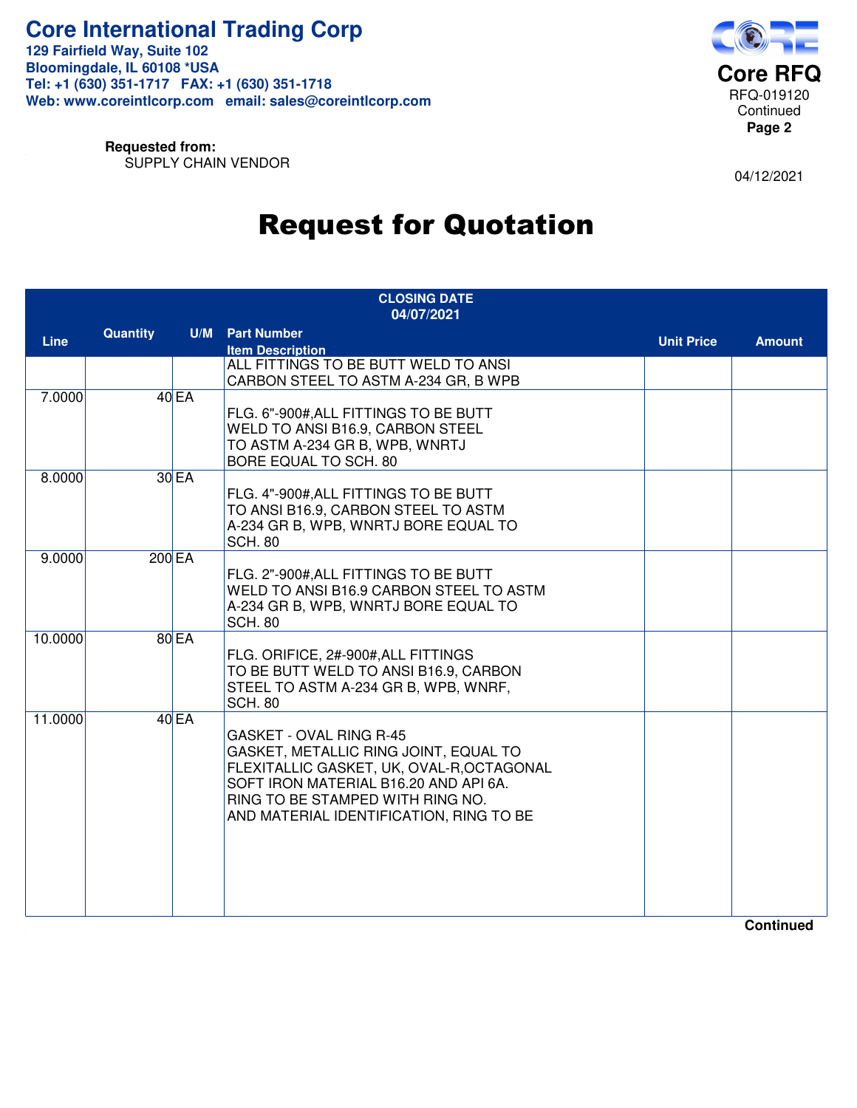

**Requested from:** SUPPLY CHAIN VENDOR

04/12/2021

## Request for Quotation

| <b>CLOSING DATE</b><br>04/07/2021 |          |              |                                                                                                                                                                                                                                       |                   |               |
|-----------------------------------|----------|--------------|---------------------------------------------------------------------------------------------------------------------------------------------------------------------------------------------------------------------------------------|-------------------|---------------|
| <b>Line</b>                       | Quantity |              | <b>U/M</b> Part Number                                                                                                                                                                                                                | <b>Unit Price</b> | <b>Amount</b> |
|                                   |          |              | <b>Item Description</b><br>ALL FITTINGS TO BE BUTT WELD TO ANSI<br>CARBON STEEL TO ASTM A-234 GR, B WPB                                                                                                                               |                   |               |
| 7.0000                            |          | 40EA         | FLG. 6"-900#, ALL FITTINGS TO BE BUTT<br>WELD TO ANSI B16.9, CARBON STEEL<br>TO ASTM A-234 GR B, WPB, WNRTJ<br>BORE EQUAL TO SCH. 80                                                                                                  |                   |               |
| 8.0000                            |          | 30 EA        | FLG. 4"-900#, ALL FITTINGS TO BE BUTT<br>TO ANSI B16.9, CARBON STEEL TO ASTM<br>A-234 GR B, WPB, WNRTJ BORE EQUAL TO<br><b>SCH. 80</b>                                                                                                |                   |               |
| 9.0000                            |          | 200 EA       | FLG. 2"-900#, ALL FITTINGS TO BE BUTT<br>WELD TO ANSI B16.9 CARBON STEEL TO ASTM<br>A-234 GR B, WPB, WNRTJ BORE EQUAL TO<br><b>SCH. 80</b>                                                                                            |                   |               |
| 10.0000                           |          | <b>80 EA</b> | FLG. ORIFICE, 2#-900#, ALL FITTINGS<br>TO BE BUTT WELD TO ANSI B16.9, CARBON<br>STEEL TO ASTM A-234 GR B, WPB, WNRF,<br><b>SCH. 80</b>                                                                                                |                   |               |
| 11.0000                           |          | 40EA         | GASKET - OVAL RING R-45<br>GASKET, METALLIC RING JOINT, EQUAL TO<br>FLEXITALLIC GASKET, UK, OVAL-R, OCTAGONAL<br>SOFT IRON MATERIAL B16.20 AND API 6A.<br>RING TO BE STAMPED WITH RING NO.<br>AND MATERIAL IDENTIFICATION, RING TO BE |                   |               |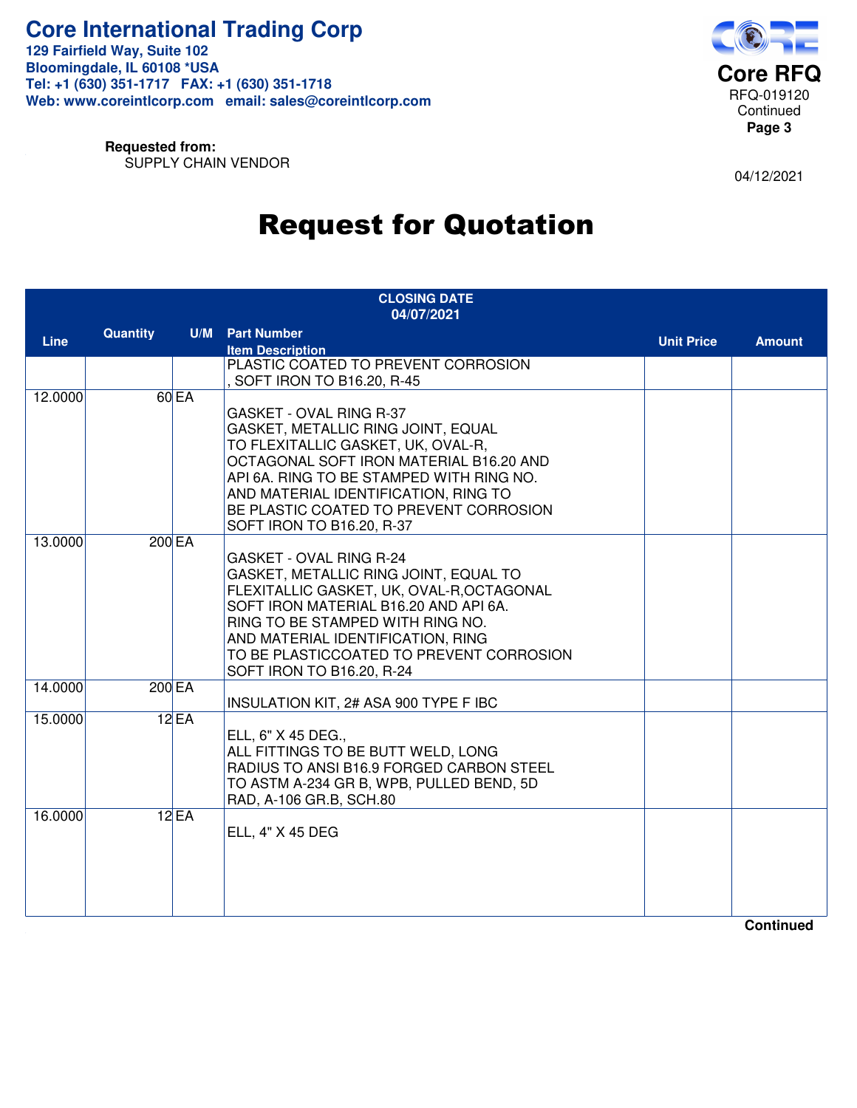

**Requested from:** SUPPLY CHAIN VENDOR

04/12/2021

## Request for Quotation

| <b>CLOSING DATE</b><br>04/07/2021 |          |        |                                                                                                                                                                                                                                                                                                                 |                   |               |
|-----------------------------------|----------|--------|-----------------------------------------------------------------------------------------------------------------------------------------------------------------------------------------------------------------------------------------------------------------------------------------------------------------|-------------------|---------------|
| <b>Line</b>                       | Quantity |        | <b>U/M</b> Part Number                                                                                                                                                                                                                                                                                          | <b>Unit Price</b> | <b>Amount</b> |
|                                   |          |        | <b>Item Description</b><br>PLASTIC COATED TO PREVENT CORROSION<br>, SOFT IRON TO B16.20, R-45                                                                                                                                                                                                                   |                   |               |
| 12.0000                           |          | 60 EA  | GASKET - OVAL RING R-37<br>GASKET, METALLIC RING JOINT, EQUAL<br>TO FLEXITALLIC GASKET, UK, OVAL-R,<br>OCTAGONAL SOFT IRON MATERIAL B16.20 AND<br>API 6A. RING TO BE STAMPED WITH RING NO.<br>AND MATERIAL IDENTIFICATION, RING TO<br>BE PLASTIC COATED TO PREVENT CORROSION<br>SOFT IRON TO B16.20, R-37       |                   |               |
| 13.0000                           |          | 200 EA | <b>GASKET - OVAL RING R-24</b><br>GASKET, METALLIC RING JOINT, EQUAL TO<br>FLEXITALLIC GASKET, UK, OVAL-R, OCTAGONAL<br>SOFT IRON MATERIAL B16.20 AND API 6A.<br>RING TO BE STAMPED WITH RING NO.<br>AND MATERIAL IDENTIFICATION, RING<br>TO BE PLASTICCOATED TO PREVENT CORROSION<br>SOFT IRON TO B16.20, R-24 |                   |               |
| 14.0000                           |          | 200 EA | INSULATION KIT, 2# ASA 900 TYPE F IBC                                                                                                                                                                                                                                                                           |                   |               |
| 15.0000                           |          | 12EA   | ELL, 6" X 45 DEG.,<br>ALL FITTINGS TO BE BUTT WELD, LONG<br>RADIUS TO ANSI B16.9 FORGED CARBON STEEL<br>TO ASTM A-234 GR B, WPB, PULLED BEND, 5D<br>RAD, A-106 GR.B, SCH.80                                                                                                                                     |                   |               |
| 16,0000                           |          | 12EA   | ELL, 4" X 45 DEG                                                                                                                                                                                                                                                                                                |                   |               |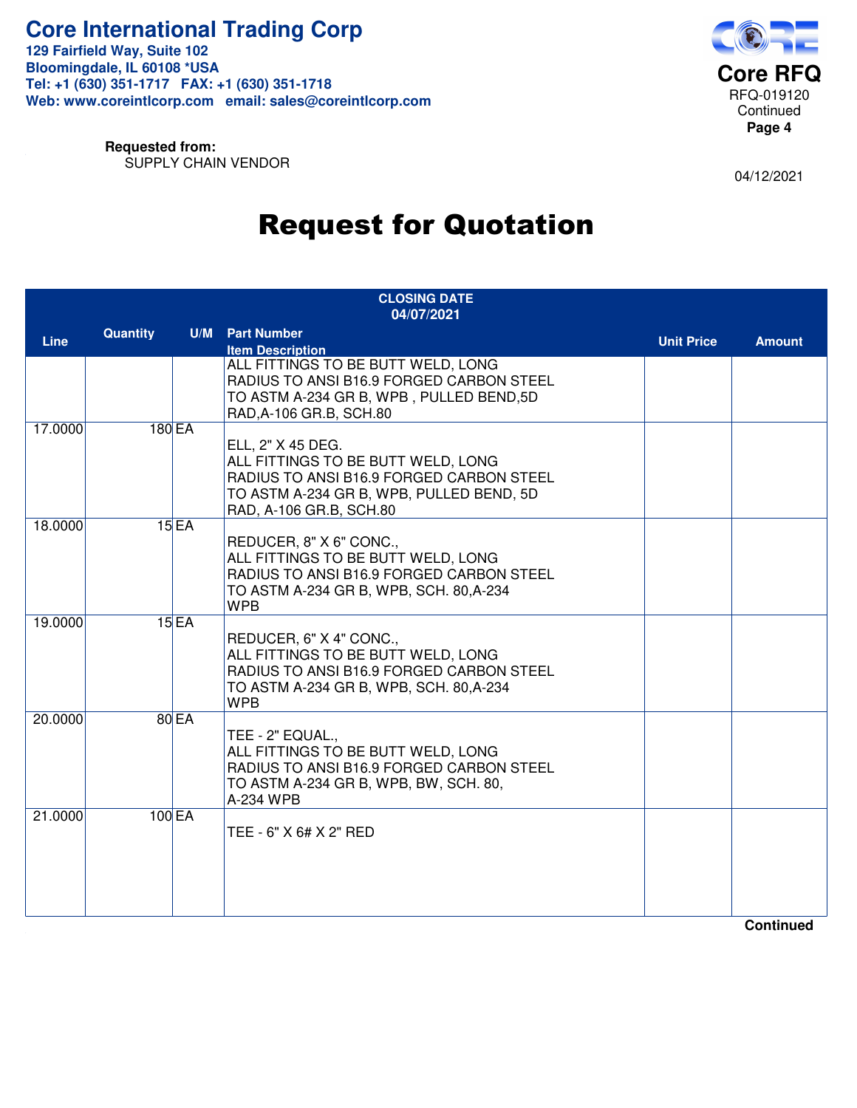

**Requested from:** SUPPLY CHAIN VENDOR

04/12/2021

#### Request for Quotation

| <b>CLOSING DATE</b><br>04/07/2021 |                 |        |                                                                                                                                                                            |                   |               |
|-----------------------------------|-----------------|--------|----------------------------------------------------------------------------------------------------------------------------------------------------------------------------|-------------------|---------------|
| <b>Line</b>                       | <b>Quantity</b> |        | <b>U/M</b> Part Number<br><b>Item Description</b>                                                                                                                          | <b>Unit Price</b> | <b>Amount</b> |
|                                   |                 |        | ALL FITTINGS TO BE BUTT WELD, LONG<br>RADIUS TO ANSI B16.9 FORGED CARBON STEEL<br>TO ASTM A-234 GR B, WPB, PULLED BEND, 5D<br>RAD, A-106 GR.B, SCH.80                      |                   |               |
| 17.0000                           |                 | 180EA  | ELL, 2" X 45 DEG.<br>ALL FITTINGS TO BE BUTT WELD, LONG<br>RADIUS TO ANSI B16.9 FORGED CARBON STEEL<br>TO ASTM A-234 GR B, WPB, PULLED BEND, 5D<br>RAD, A-106 GR.B, SCH.80 |                   |               |
| 18.0000                           |                 | 15EA   | REDUCER, 8" X 6" CONC.,<br>ALL FITTINGS TO BE BUTT WELD, LONG<br>RADIUS TO ANSI B16.9 FORGED CARBON STEEL<br>TO ASTM A-234 GR B, WPB, SCH. 80, A-234<br><b>WPB</b>         |                   |               |
| 19.0000                           |                 | 15EA   | REDUCER, 6" X 4" CONC.,<br>ALL FITTINGS TO BE BUTT WELD, LONG<br>RADIUS TO ANSI B16.9 FORGED CARBON STEEL<br>TO ASTM A-234 GR B, WPB, SCH. 80, A-234<br><b>WPB</b>         |                   |               |
| 20.0000                           |                 | 80 EA  | TEE - 2" EQUAL.,<br>ALL FITTINGS TO BE BUTT WELD, LONG<br>RADIUS TO ANSI B16.9 FORGED CARBON STEEL<br>TO ASTM A-234 GR B, WPB, BW, SCH. 80,<br>A-234 WPB                   |                   |               |
| 21.0000                           |                 | 100 EA | TEE - 6" X 6# X 2" RED                                                                                                                                                     |                   |               |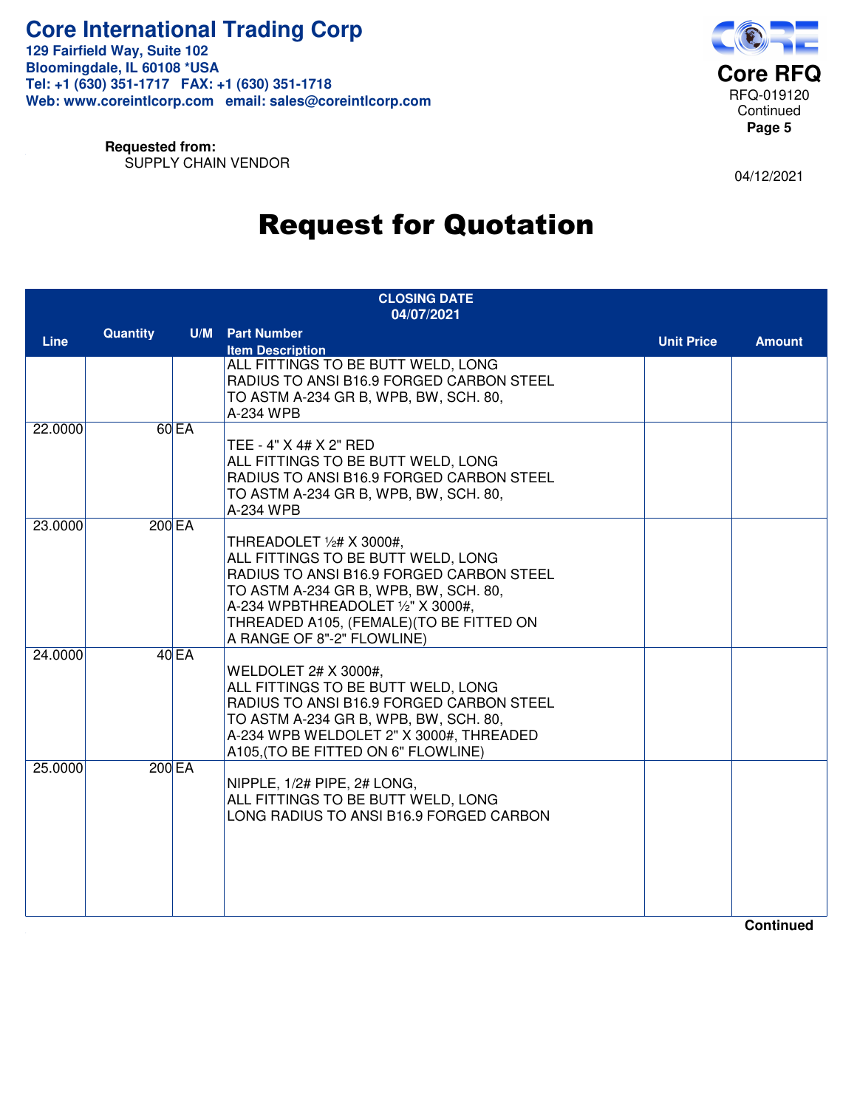

**Requested from:** SUPPLY CHAIN VENDOR

04/12/2021

#### Request for Quotation

| <b>CLOSING DATE</b><br>04/07/2021 |          |                    |                                                                                                                                                                                                                                                                    |                   |               |
|-----------------------------------|----------|--------------------|--------------------------------------------------------------------------------------------------------------------------------------------------------------------------------------------------------------------------------------------------------------------|-------------------|---------------|
| <b>Line</b>                       | Quantity |                    | <b>U/M</b> Part Number<br><b>Item Description</b>                                                                                                                                                                                                                  | <b>Unit Price</b> | <b>Amount</b> |
|                                   |          |                    | ALL FITTINGS TO BE BUTT WELD, LONG<br>RADIUS TO ANSI B16.9 FORGED CARBON STEEL<br>TO ASTM A-234 GR B, WPB, BW, SCH. 80,<br>A-234 WPB                                                                                                                               |                   |               |
| 22,0000                           |          | $60$ <sub>EA</sub> | TEE - 4" X 4# X 2" RED<br>ALL FITTINGS TO BE BUTT WELD, LONG<br>RADIUS TO ANSI B16.9 FORGED CARBON STEEL<br>TO ASTM A-234 GR B, WPB, BW, SCH. 80,<br>A-234 WPB                                                                                                     |                   |               |
| 23.0000                           |          | 200 EA             | THREADOLET 1/2# X 3000#,<br>ALL FITTINGS TO BE BUTT WELD, LONG<br>RADIUS TO ANSI B16.9 FORGED CARBON STEEL<br>TO ASTM A-234 GR B, WPB, BW, SCH. 80,<br>A-234 WPBTHREADOLET 1/2" X 3000#,<br>THREADED A105, (FEMALE) (TO BE FITTED ON<br>A RANGE OF 8"-2" FLOWLINE) |                   |               |
| 24.0000                           |          | 40EA               | <b>WELDOLET 2# X 3000#,</b><br>ALL FITTINGS TO BE BUTT WELD, LONG<br>RADIUS TO ANSI B16.9 FORGED CARBON STEEL<br>TO ASTM A-234 GR B, WPB, BW, SCH. 80,<br>A-234 WPB WELDOLET 2" X 3000#, THREADED<br>A105, (TO BE FITTED ON 6" FLOWLINE)                           |                   |               |
| 25.0000                           |          | <b>200 EA</b>      | NIPPLE, 1/2# PIPE, 2# LONG,<br>ALL FITTINGS TO BE BUTT WELD, LONG<br>LONG RADIUS TO ANSI B16.9 FORGED CARBON                                                                                                                                                       |                   |               |